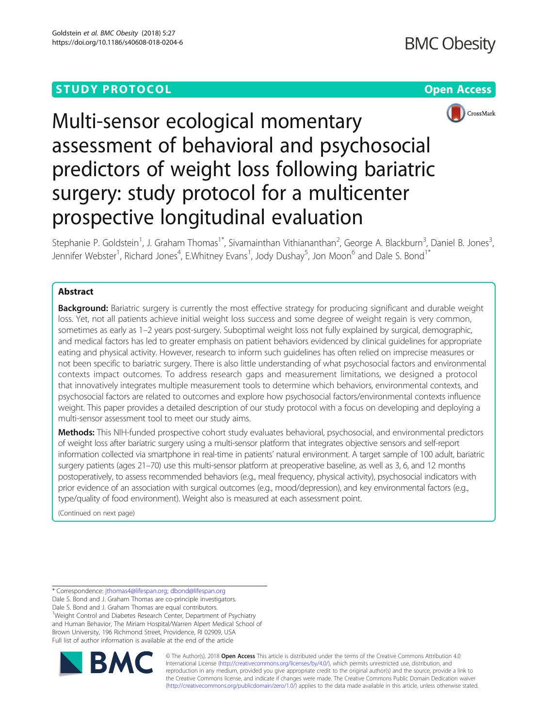# **STUDY PROTOCOL CONSUMING THE CONSUMING OPEN ACCESS**





# Multi-sensor ecological momentary assessment of behavioral and psychosocial predictors of weight loss following bariatric surgery: study protocol for a multicenter prospective longitudinal evaluation

Stephanie P. Goldstein<sup>1</sup>, J. Graham Thomas<sup>1\*</sup>, Sivamainthan Vithiananthan<sup>2</sup>, George A. Blackburn<sup>3</sup>, Daniel B. Jones<sup>3</sup> , Jennifer Webster<sup>1</sup>, Richard Jones<sup>4</sup>, E.Whitney Evans<sup>1</sup>, Jody Dushay<sup>5</sup>, Jon Moon<sup>6</sup> and Dale S. Bond<sup>1\*</sup>

# Abstract

**Background:** Bariatric surgery is currently the most effective strategy for producing significant and durable weight loss. Yet, not all patients achieve initial weight loss success and some degree of weight regain is very common, sometimes as early as 1–2 years post-surgery. Suboptimal weight loss not fully explained by surgical, demographic, and medical factors has led to greater emphasis on patient behaviors evidenced by clinical guidelines for appropriate eating and physical activity. However, research to inform such guidelines has often relied on imprecise measures or not been specific to bariatric surgery. There is also little understanding of what psychosocial factors and environmental contexts impact outcomes. To address research gaps and measurement limitations, we designed a protocol that innovatively integrates multiple measurement tools to determine which behaviors, environmental contexts, and psychosocial factors are related to outcomes and explore how psychosocial factors/environmental contexts influence weight. This paper provides a detailed description of our study protocol with a focus on developing and deploying a multi-sensor assessment tool to meet our study aims.

Methods: This NIH-funded prospective cohort study evaluates behavioral, psychosocial, and environmental predictors of weight loss after bariatric surgery using a multi-sensor platform that integrates objective sensors and self-report information collected via smartphone in real-time in patients' natural environment. A target sample of 100 adult, bariatric surgery patients (ages 21–70) use this multi-sensor platform at preoperative baseline, as well as 3, 6, and 12 months postoperatively, to assess recommended behaviors (e.g., meal frequency, physical activity), psychosocial indicators with prior evidence of an association with surgical outcomes (e.g., mood/depression), and key environmental factors (e.g., type/quality of food environment). Weight also is measured at each assessment point.

(Continued on next page)

\* Correspondence: [jthomas4@lifespan.org;](mailto:jthomas4@lifespan.org) [dbond@lifespan.org](mailto:dbond@lifespan.org) Dale S. Bond and J. Graham Thomas are co-principle investigators. Dale S. Bond and J. Graham Thomas are equal contributors. <sup>1</sup>Weight Control and Diabetes Research Center, Department of Psychiatry and Human Behavior, The Miriam Hospital/Warren Alpert Medical School of Brown University, 196 Richmond Street, Providence, RI 02909, USA Full list of author information is available at the end of the article



© The Author(s). 2018 Open Access This article is distributed under the terms of the Creative Commons Attribution 4.0 International License [\(http://creativecommons.org/licenses/by/4.0/](http://creativecommons.org/licenses/by/4.0/)), which permits unrestricted use, distribution, and reproduction in any medium, provided you give appropriate credit to the original author(s) and the source, provide a link to the Creative Commons license, and indicate if changes were made. The Creative Commons Public Domain Dedication waiver [\(http://creativecommons.org/publicdomain/zero/1.0/](http://creativecommons.org/publicdomain/zero/1.0/)) applies to the data made available in this article, unless otherwise stated.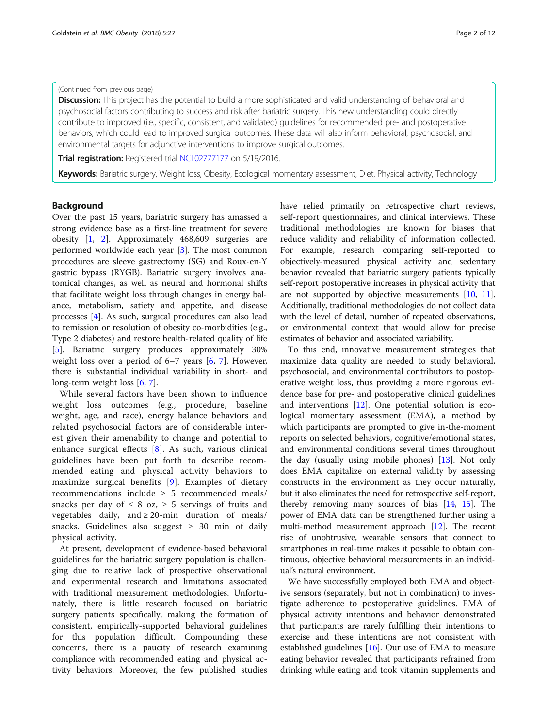#### (Continued from previous page)

Discussion: This project has the potential to build a more sophisticated and valid understanding of behavioral and psychosocial factors contributing to success and risk after bariatric surgery. This new understanding could directly contribute to improved (i.e., specific, consistent, and validated) guidelines for recommended pre- and postoperative behaviors, which could lead to improved surgical outcomes. These data will also inform behavioral, psychosocial, and environmental targets for adjunctive interventions to improve surgical outcomes.

Trial registration: Registered trial [NCT02777177](https://clinicaltrials.gov/ct2/show/NCT02777177) on 5/19/2016.

Keywords: Bariatric surgery, Weight loss, Obesity, Ecological momentary assessment, Diet, Physical activity, Technology

# Background

Over the past 15 years, bariatric surgery has amassed a strong evidence base as a first-line treatment for severe obesity [[1,](#page-10-0) [2\]](#page-10-0). Approximately 468,609 surgeries are performed worldwide each year [[3\]](#page-10-0). The most common procedures are sleeve gastrectomy (SG) and Roux-en-Y gastric bypass (RYGB). Bariatric surgery involves anatomical changes, as well as neural and hormonal shifts that facilitate weight loss through changes in energy balance, metabolism, satiety and appetite, and disease processes [[4\]](#page-10-0). As such, surgical procedures can also lead to remission or resolution of obesity co-morbidities (e.g., Type 2 diabetes) and restore health-related quality of life [[5\]](#page-10-0). Bariatric surgery produces approximately 30% weight loss over a period of  $6-7$  $6-7$  years  $[6, 7]$  $[6, 7]$ . However, there is substantial individual variability in short- and long-term weight loss [[6,](#page-10-0) [7\]](#page-10-0).

While several factors have been shown to influence weight loss outcomes (e.g., procedure, baseline weight, age, and race), energy balance behaviors and related psychosocial factors are of considerable interest given their amenability to change and potential to enhance surgical effects [\[8](#page-11-0)]. As such, various clinical guidelines have been put forth to describe recommended eating and physical activity behaviors to maximize surgical benefits [[9\]](#page-11-0). Examples of dietary recommendations include  $\geq$  5 recommended meals/ snacks per day of  $\leq 8$  oz,  $\geq 5$  servings of fruits and vegetables daily, and  $\geq 20$ -min duration of meals/ snacks. Guidelines also suggest  $\geq$  30 min of daily physical activity.

At present, development of evidence-based behavioral guidelines for the bariatric surgery population is challenging due to relative lack of prospective observational and experimental research and limitations associated with traditional measurement methodologies. Unfortunately, there is little research focused on bariatric surgery patients specifically, making the formation of consistent, empirically-supported behavioral guidelines for this population difficult. Compounding these concerns, there is a paucity of research examining compliance with recommended eating and physical activity behaviors. Moreover, the few published studies

have relied primarily on retrospective chart reviews, self-report questionnaires, and clinical interviews. These traditional methodologies are known for biases that reduce validity and reliability of information collected. For example, research comparing self-reported to objectively-measured physical activity and sedentary behavior revealed that bariatric surgery patients typically self-report postoperative increases in physical activity that are not supported by objective measurements [[10,](#page-11-0) [11](#page-11-0)]. Additionally, traditional methodologies do not collect data with the level of detail, number of repeated observations, or environmental context that would allow for precise estimates of behavior and associated variability.

To this end, innovative measurement strategies that maximize data quality are needed to study behavioral, psychosocial, and environmental contributors to postoperative weight loss, thus providing a more rigorous evidence base for pre- and postoperative clinical guidelines and interventions [\[12\]](#page-11-0). One potential solution is ecological momentary assessment (EMA), a method by which participants are prompted to give in-the-moment reports on selected behaviors, cognitive/emotional states, and environmental conditions several times throughout the day (usually using mobile phones) [[13\]](#page-11-0). Not only does EMA capitalize on external validity by assessing constructs in the environment as they occur naturally, but it also eliminates the need for retrospective self-report, thereby removing many sources of bias [[14](#page-11-0), [15\]](#page-11-0). The power of EMA data can be strengthened further using a multi-method measurement approach [[12](#page-11-0)]. The recent rise of unobtrusive, wearable sensors that connect to smartphones in real-time makes it possible to obtain continuous, objective behavioral measurements in an individual's natural environment.

We have successfully employed both EMA and objective sensors (separately, but not in combination) to investigate adherence to postoperative guidelines. EMA of physical activity intentions and behavior demonstrated that participants are rarely fulfilling their intentions to exercise and these intentions are not consistent with established guidelines [\[16](#page-11-0)]. Our use of EMA to measure eating behavior revealed that participants refrained from drinking while eating and took vitamin supplements and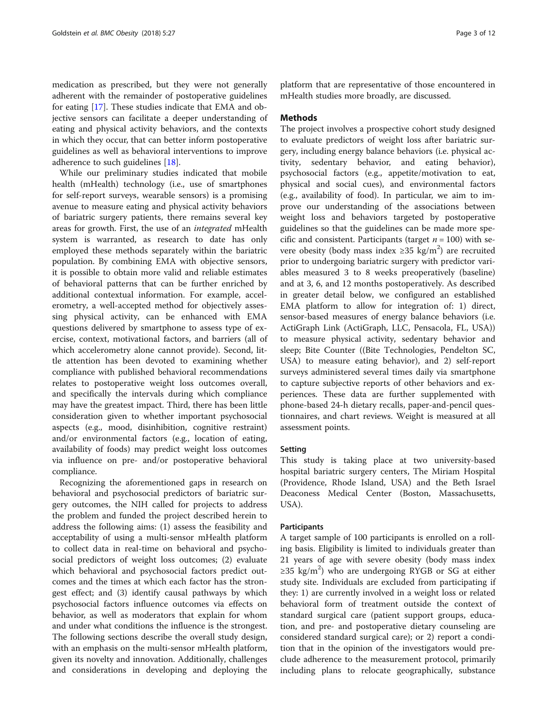medication as prescribed, but they were not generally adherent with the remainder of postoperative guidelines for eating [\[17](#page-11-0)]. These studies indicate that EMA and objective sensors can facilitate a deeper understanding of eating and physical activity behaviors, and the contexts in which they occur, that can better inform postoperative guidelines as well as behavioral interventions to improve adherence to such guidelines [\[18](#page-11-0)].

While our preliminary studies indicated that mobile health (mHealth) technology (i.e., use of smartphones for self-report surveys, wearable sensors) is a promising avenue to measure eating and physical activity behaviors of bariatric surgery patients, there remains several key areas for growth. First, the use of an integrated mHealth system is warranted, as research to date has only employed these methods separately within the bariatric population. By combining EMA with objective sensors, it is possible to obtain more valid and reliable estimates of behavioral patterns that can be further enriched by additional contextual information. For example, accelerometry, a well-accepted method for objectively assessing physical activity, can be enhanced with EMA questions delivered by smartphone to assess type of exercise, context, motivational factors, and barriers (all of which accelerometry alone cannot provide). Second, little attention has been devoted to examining whether compliance with published behavioral recommendations relates to postoperative weight loss outcomes overall, and specifically the intervals during which compliance may have the greatest impact. Third, there has been little consideration given to whether important psychosocial aspects (e.g., mood, disinhibition, cognitive restraint) and/or environmental factors (e.g., location of eating, availability of foods) may predict weight loss outcomes via influence on pre- and/or postoperative behavioral compliance.

Recognizing the aforementioned gaps in research on behavioral and psychosocial predictors of bariatric surgery outcomes, the NIH called for projects to address the problem and funded the project described herein to address the following aims: (1) assess the feasibility and acceptability of using a multi-sensor mHealth platform to collect data in real-time on behavioral and psychosocial predictors of weight loss outcomes; (2) evaluate which behavioral and psychosocial factors predict outcomes and the times at which each factor has the strongest effect; and (3) identify causal pathways by which psychosocial factors influence outcomes via effects on behavior, as well as moderators that explain for whom and under what conditions the influence is the strongest. The following sections describe the overall study design, with an emphasis on the multi-sensor mHealth platform, given its novelty and innovation. Additionally, challenges and considerations in developing and deploying the

platform that are representative of those encountered in mHealth studies more broadly, are discussed.

## Methods

The project involves a prospective cohort study designed to evaluate predictors of weight loss after bariatric surgery, including energy balance behaviors (i.e. physical activity, sedentary behavior, and eating behavior), psychosocial factors (e.g., appetite/motivation to eat, physical and social cues), and environmental factors (e.g., availability of food). In particular, we aim to improve our understanding of the associations between weight loss and behaviors targeted by postoperative guidelines so that the guidelines can be made more specific and consistent. Participants (target  $n = 100$ ) with severe obesity (body mass index  $\geq$ 35 kg/m<sup>2</sup>) are recruited prior to undergoing bariatric surgery with predictor variables measured 3 to 8 weeks preoperatively (baseline) and at 3, 6, and 12 months postoperatively. As described in greater detail below, we configured an established EMA platform to allow for integration of: 1) direct, sensor-based measures of energy balance behaviors (i.e. ActiGraph Link (ActiGraph, LLC, Pensacola, FL, USA)) to measure physical activity, sedentary behavior and sleep; Bite Counter ((Bite Technologies, Pendelton SC, USA) to measure eating behavior), and 2) self-report surveys administered several times daily via smartphone to capture subjective reports of other behaviors and experiences. These data are further supplemented with phone-based 24-h dietary recalls, paper-and-pencil questionnaires, and chart reviews. Weight is measured at all assessment points.

#### Setting

This study is taking place at two university-based hospital bariatric surgery centers, The Miriam Hospital (Providence, Rhode Island, USA) and the Beth Israel Deaconess Medical Center (Boston, Massachusetts, USA).

#### Participants

A target sample of 100 participants is enrolled on a rolling basis. Eligibility is limited to individuals greater than 21 years of age with severe obesity (body mass index ≥35 kg/m<sup>2</sup>) who are undergoing RYGB or SG at either study site. Individuals are excluded from participating if they: 1) are currently involved in a weight loss or related behavioral form of treatment outside the context of standard surgical care (patient support groups, education, and pre- and postoperative dietary counseling are considered standard surgical care); or 2) report a condition that in the opinion of the investigators would preclude adherence to the measurement protocol, primarily including plans to relocate geographically, substance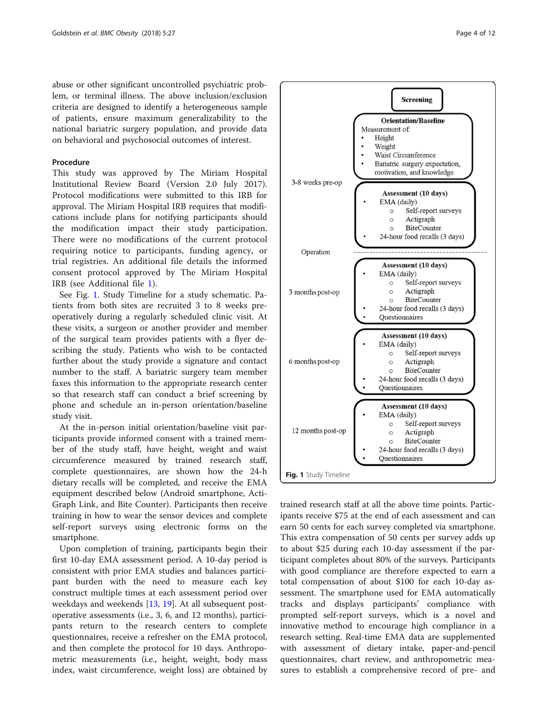abuse or other significant uncontrolled psychiatric problem, or terminal illness. The above inclusion/exclusion criteria are designed to identify a heterogeneous sample of patients, ensure maximum generalizability to the national bariatric surgery population, and provide data on behavioral and psychosocial outcomes of interest.

#### Procedure

This study was approved by The Miriam Hospital Institutional Review Board (Version 2.0 July 2017). Protocol modifications were submitted to this IRB for approval. The Miriam Hospital IRB requires that modifications include plans for notifying participants should the modification impact their study participation. There were no modifications of the current protocol requiring notice to participants, funding agency, or trial registries. An additional file details the informed consent protocol approved by The Miriam Hospital IRB (see Additional file [1\)](#page-10-0).

See Fig. 1. Study Timeline for a study schematic. Patients from both sites are recruited 3 to 8 weeks preoperatively during a regularly scheduled clinic visit. At these visits, a surgeon or another provider and member of the surgical team provides patients with a flyer describing the study. Patients who wish to be contacted further about the study provide a signature and contact number to the staff. A bariatric surgery team member faxes this information to the appropriate research center so that research staff can conduct a brief screening by phone and schedule an in-person orientation/baseline study visit.

At the in-person initial orientation/baseline visit participants provide informed consent with a trained member of the study staff, have height, weight and waist circumference measured by trained research staff, complete questionnaires, are shown how the 24-h dietary recalls will be completed, and receive the EMA equipment described below (Android smartphone, Acti-Graph Link, and Bite Counter). Participants then receive training in how to wear the sensor devices and complete self-report surveys using electronic forms on the smartphone.

Upon completion of training, participants begin their first 10-day EMA assessment period. A 10-day period is consistent with prior EMA studies and balances participant burden with the need to measure each key construct multiple times at each assessment period over weekdays and weekends [[13,](#page-11-0) [19\]](#page-11-0). At all subsequent postoperative assessments (i.e., 3, 6, and 12 months), participants return to the research centers to complete questionnaires, receive a refresher on the EMA protocol, and then complete the protocol for 10 days. Anthropometric measurements (i.e., height, weight, body mass index, waist circumference, weight loss) are obtained by



trained research staff at all the above time points. Participants receive \$75 at the end of each assessment and can earn 50 cents for each survey completed via smartphone. This extra compensation of 50 cents per survey adds up to about \$25 during each 10-day assessment if the participant completes about 80% of the surveys. Participants with good compliance are therefore expected to earn a total compensation of about \$100 for each 10-day assessment. The smartphone used for EMA automatically tracks and displays participants' compliance with prompted self-report surveys, which is a novel and innovative method to encourage high compliance in a research setting. Real-time EMA data are supplemented with assessment of dietary intake, paper-and-pencil questionnaires, chart review, and anthropometric measures to establish a comprehensive record of pre- and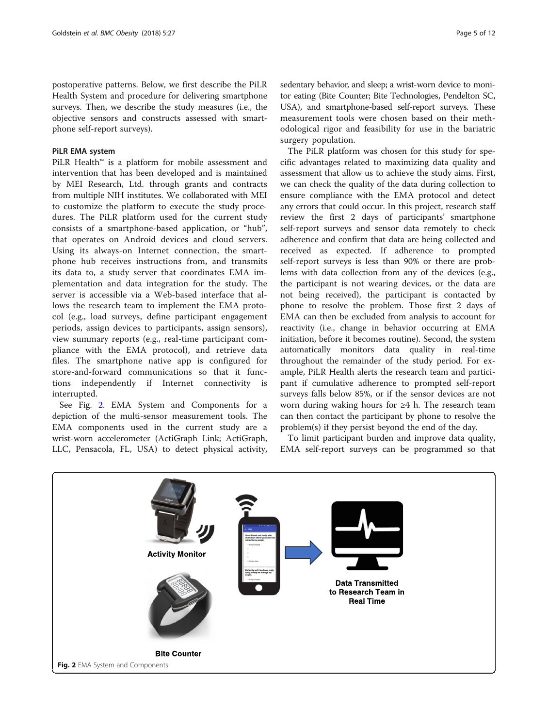postoperative patterns. Below, we first describe the PiLR Health System and procedure for delivering smartphone surveys. Then, we describe the study measures (i.e., the objective sensors and constructs assessed with smartphone self-report surveys).

# PiLR EMA system

PiLR Health™ is a platform for mobile assessment and intervention that has been developed and is maintained by MEI Research, Ltd. through grants and contracts from multiple NIH institutes. We collaborated with MEI to customize the platform to execute the study procedures. The PiLR platform used for the current study consists of a smartphone-based application, or "hub", that operates on Android devices and cloud servers. Using its always-on Internet connection, the smartphone hub receives instructions from, and transmits its data to, a study server that coordinates EMA implementation and data integration for the study. The server is accessible via a Web-based interface that allows the research team to implement the EMA protocol (e.g., load surveys, define participant engagement periods, assign devices to participants, assign sensors), view summary reports (e.g., real-time participant compliance with the EMA protocol), and retrieve data files. The smartphone native app is configured for store-and-forward communications so that it functions independently if Internet connectivity is interrupted.

See Fig. 2. EMA System and Components for a depiction of the multi-sensor measurement tools. The EMA components used in the current study are a wrist-worn accelerometer (ActiGraph Link; ActiGraph, LLC, Pensacola, FL, USA) to detect physical activity, sedentary behavior, and sleep; a wrist-worn device to monitor eating (Bite Counter; Bite Technologies, Pendelton SC, USA), and smartphone-based self-report surveys. These measurement tools were chosen based on their methodological rigor and feasibility for use in the bariatric surgery population.

The PiLR platform was chosen for this study for specific advantages related to maximizing data quality and assessment that allow us to achieve the study aims. First, we can check the quality of the data during collection to ensure compliance with the EMA protocol and detect any errors that could occur. In this project, research staff review the first 2 days of participants' smartphone self-report surveys and sensor data remotely to check adherence and confirm that data are being collected and received as expected. If adherence to prompted self-report surveys is less than 90% or there are problems with data collection from any of the devices (e.g., the participant is not wearing devices, or the data are not being received), the participant is contacted by phone to resolve the problem. Those first 2 days of EMA can then be excluded from analysis to account for reactivity (i.e., change in behavior occurring at EMA initiation, before it becomes routine). Second, the system automatically monitors data quality in real-time throughout the remainder of the study period. For example, PiLR Health alerts the research team and participant if cumulative adherence to prompted self-report surveys falls below 85%, or if the sensor devices are not worn during waking hours for ≥4 h. The research team can then contact the participant by phone to resolve the problem(s) if they persist beyond the end of the day.

To limit participant burden and improve data quality, EMA self-report surveys can be programmed so that

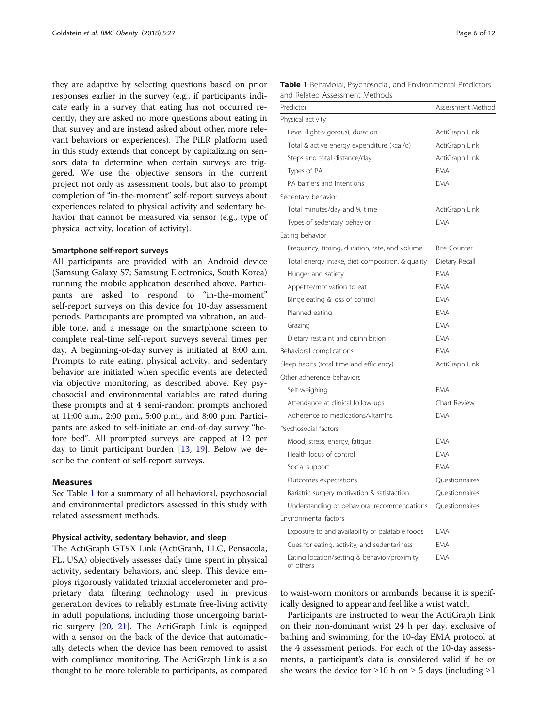they are adaptive by selecting questions based on prior responses earlier in the survey (e.g., if participants indicate early in a survey that eating has not occurred recently, they are asked no more questions about eating in that survey and are instead asked about other, more relevant behaviors or experiences). The PiLR platform used in this study extends that concept by capitalizing on sensors data to determine when certain surveys are triggered. We use the objective sensors in the current project not only as assessment tools, but also to prompt completion of "in-the-moment" self-report surveys about experiences related to physical activity and sedentary behavior that cannot be measured via sensor (e.g., type of physical activity, location of activity).

#### Smartphone self-report surveys

All participants are provided with an Android device (Samsung Galaxy S7; Samsung Electronics, South Korea) running the mobile application described above. Participants are asked to respond to "in-the-moment" self-report surveys on this device for 10-day assessment periods. Participants are prompted via vibration, an audible tone, and a message on the smartphone screen to complete real-time self-report surveys several times per day. A beginning-of-day survey is initiated at 8:00 a.m. Prompts to rate eating, physical activity, and sedentary behavior are initiated when specific events are detected via objective monitoring, as described above. Key psychosocial and environmental variables are rated during these prompts and at 4 semi-random prompts anchored at 11:00 a.m., 2:00 p.m., 5:00 p.m., and 8:00 p.m. Participants are asked to self-initiate an end-of-day survey "before bed". All prompted surveys are capped at 12 per day to limit participant burden [[13](#page-11-0), [19\]](#page-11-0). Below we describe the content of self-report surveys.

#### Measures

See Table 1 for a summary of all behavioral, psychosocial and environmental predictors assessed in this study with related assessment methods.

#### Physical activity, sedentary behavior, and sleep

The ActiGraph GT9X Link (ActiGraph, LLC, Pensacola, FL, USA) objectively assesses daily time spent in physical activity, sedentary behaviors, and sleep. This device employs rigorously validated triaxial accelerometer and proprietary data filtering technology used in previous generation devices to reliably estimate free-living activity in adult populations, including those undergoing bariatric surgery [[20,](#page-11-0) [21\]](#page-11-0). The ActiGraph Link is equipped with a sensor on the back of the device that automatically detects when the device has been removed to assist with compliance monitoring. The ActiGraph Link is also thought to be more tolerable to participants, as compared

| Predictor                                                 | Assessment Method   |
|-----------------------------------------------------------|---------------------|
| Physical activity                                         |                     |
| Level (light-vigorous), duration                          | ActiGraph Link      |
| Total & active energy expenditure (kcal/d)                | ActiGraph Link      |
| Steps and total distance/day                              | ActiGraph Link      |
| Types of PA                                               | <b>EMA</b>          |
| PA barriers and intentions                                | <b>FMA</b>          |
| Sedentary behavior                                        |                     |
| Total minutes/day and % time                              | ActiGraph Link      |
| Types of sedentary behavior                               | <b>FMA</b>          |
| Eating behavior                                           |                     |
| Frequency, timing, duration, rate, and volume             | <b>Bite Counter</b> |
| Total energy intake, diet composition, & quality          | Dietary Recall      |
| Hunger and satiety                                        | <b>EMA</b>          |
| Appetite/motivation to eat                                | <b>EMA</b>          |
| Binge eating & loss of control                            | <b>FMA</b>          |
| Planned eating                                            | <b>FMA</b>          |
| Grazing                                                   | <b>FMA</b>          |
| Dietary restraint and disinhibition                       | <b>EMA</b>          |
| Behavioral complications                                  | <b>FMA</b>          |
| Sleep habits (total time and efficiency)                  | ActiGraph Link      |
| Other adherence behaviors                                 |                     |
| Self-weighing                                             | <b>EMA</b>          |
| Attendance at clinical follow-ups                         | Chart Review        |
| Adherence to medications/vitamins                         | <b>EMA</b>          |
| Psychosocial factors                                      |                     |
| Mood, stress, energy, fatigue                             | <b>EMA</b>          |
| Health locus of control                                   | <b>EMA</b>          |
| Social support                                            | <b>EMA</b>          |
| Outcomes expectations                                     | Ouestionnaires      |
| Bariatric surgery motivation & satisfaction               | Questionnaires      |
| Understanding of behavioral recommendations               | Questionnaires      |
| Environmental factors                                     |                     |
| Exposure to and availability of palatable foods           | <b>EMA</b>          |
| Cues for eating, activity, and sedentariness              | <b>EMA</b>          |
| Eating location/setting & behavior/proximity<br>of others | <b>FMA</b>          |

to waist-worn monitors or armbands, because it is specifically designed to appear and feel like a wrist watch.

Participants are instructed to wear the ActiGraph Link on their non-dominant wrist 24 h per day, exclusive of bathing and swimming, for the 10-day EMA protocol at the 4 assessment periods. For each of the 10-day assessments, a participant's data is considered valid if he or she wears the device for  $\geq 10$  h on  $\geq 5$  days (including  $\geq 1$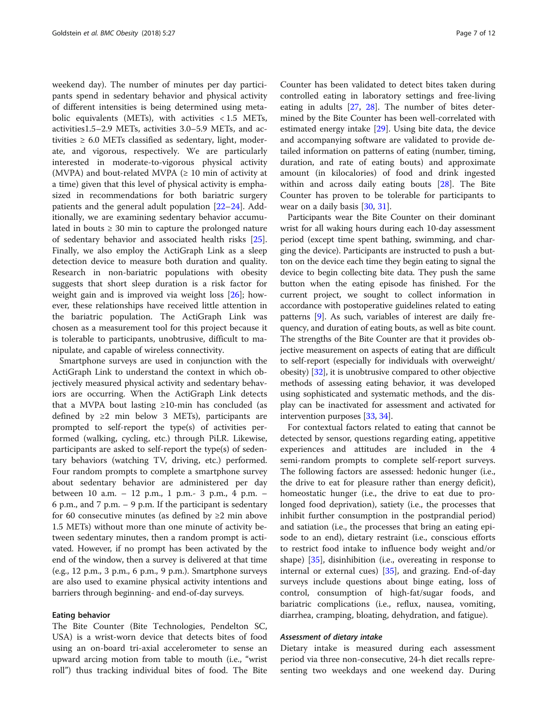weekend day). The number of minutes per day participants spend in sedentary behavior and physical activity of different intensities is being determined using metabolic equivalents (METs), with activities  $< 1.5$  METs, activities1.5–2.9 METs, activities 3.0–5.9 METs, and activities  $\geq 6.0$  METs classified as sedentary, light, moderate, and vigorous, respectively. We are particularly interested in moderate-to-vigorous physical activity (MVPA) and bout-related MVPA ( $\geq$  10 min of activity at a time) given that this level of physical activity is emphasized in recommendations for both bariatric surgery patients and the general adult population [\[22](#page-11-0)–[24\]](#page-11-0). Additionally, we are examining sedentary behavior accumulated in bouts  $\geq 30$  min to capture the prolonged nature of sedentary behavior and associated health risks [\[25](#page-11-0)]. Finally, we also employ the ActiGraph Link as a sleep detection device to measure both duration and quality. Research in non-bariatric populations with obesity suggests that short sleep duration is a risk factor for weight gain and is improved via weight loss [\[26](#page-11-0)]; however, these relationships have received little attention in the bariatric population. The ActiGraph Link was chosen as a measurement tool for this project because it is tolerable to participants, unobtrusive, difficult to manipulate, and capable of wireless connectivity.

Smartphone surveys are used in conjunction with the ActiGraph Link to understand the context in which objectively measured physical activity and sedentary behaviors are occurring. When the ActiGraph Link detects that a MVPA bout lasting  $\geq 10$ -min has concluded (as defined by  $\geq 2$  min below 3 METs), participants are prompted to self-report the type(s) of activities performed (walking, cycling, etc.) through PiLR. Likewise, participants are asked to self-report the type(s) of sedentary behaviors (watching TV, driving, etc.) performed. Four random prompts to complete a smartphone survey about sedentary behavior are administered per day between 10 a.m. – 12 p.m., 1 p.m.- 3 p.m., 4 p.m. – 6 p.m., and 7 p.m. – 9 p.m. If the participant is sedentary for 60 consecutive minutes (as defined by  $\geq 2$  min above 1.5 METs) without more than one minute of activity between sedentary minutes, then a random prompt is activated. However, if no prompt has been activated by the end of the window, then a survey is delivered at that time (e.g., 12 p.m., 3 p.m., 6 p.m., 9 p.m.). Smartphone surveys are also used to examine physical activity intentions and barriers through beginning- and end-of-day surveys.

#### Eating behavior

The Bite Counter (Bite Technologies, Pendelton SC, USA) is a wrist-worn device that detects bites of food using an on-board tri-axial accelerometer to sense an upward arcing motion from table to mouth (i.e., "wrist roll") thus tracking individual bites of food. The Bite

Counter has been validated to detect bites taken during controlled eating in laboratory settings and free-living eating in adults [[27](#page-11-0), [28\]](#page-11-0). The number of bites determined by the Bite Counter has been well-correlated with estimated energy intake [\[29](#page-11-0)]. Using bite data, the device and accompanying software are validated to provide detailed information on patterns of eating (number, timing, duration, and rate of eating bouts) and approximate amount (in kilocalories) of food and drink ingested within and across daily eating bouts [[28](#page-11-0)]. The Bite Counter has proven to be tolerable for participants to wear on a daily basis [[30,](#page-11-0) [31](#page-11-0)].

Participants wear the Bite Counter on their dominant wrist for all waking hours during each 10-day assessment period (except time spent bathing, swimming, and charging the device). Participants are instructed to push a button on the device each time they begin eating to signal the device to begin collecting bite data. They push the same button when the eating episode has finished. For the current project, we sought to collect information in accordance with postoperative guidelines related to eating patterns [[9\]](#page-11-0). As such, variables of interest are daily frequency, and duration of eating bouts, as well as bite count. The strengths of the Bite Counter are that it provides objective measurement on aspects of eating that are difficult to self-report (especially for individuals with overweight/ obesity) [\[32](#page-11-0)], it is unobtrusive compared to other objective methods of assessing eating behavior, it was developed using sophisticated and systematic methods, and the display can be inactivated for assessment and activated for intervention purposes [[33,](#page-11-0) [34\]](#page-11-0).

For contextual factors related to eating that cannot be detected by sensor, questions regarding eating, appetitive experiences and attitudes are included in the 4 semi-random prompts to complete self-report surveys. The following factors are assessed: hedonic hunger (i.e., the drive to eat for pleasure rather than energy deficit), homeostatic hunger (i.e., the drive to eat due to prolonged food deprivation), satiety (i.e., the processes that inhibit further consumption in the postprandial period) and satiation (i.e., the processes that bring an eating episode to an end), dietary restraint (i.e., conscious efforts to restrict food intake to influence body weight and/or shape) [\[35\]](#page-11-0), disinhibition (i.e., overeating in response to internal or external cues) [[35\]](#page-11-0), and grazing. End-of-day surveys include questions about binge eating, loss of control, consumption of high-fat/sugar foods, and bariatric complications (i.e., reflux, nausea, vomiting, diarrhea, cramping, bloating, dehydration, and fatigue).

#### Assessment of dietary intake

Dietary intake is measured during each assessment period via three non-consecutive, 24-h diet recalls representing two weekdays and one weekend day. During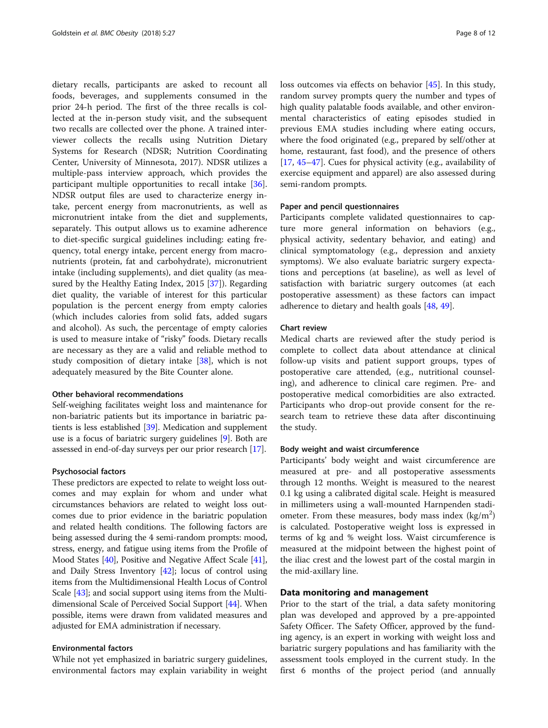dietary recalls, participants are asked to recount all foods, beverages, and supplements consumed in the prior 24-h period. The first of the three recalls is collected at the in-person study visit, and the subsequent two recalls are collected over the phone. A trained interviewer collects the recalls using Nutrition Dietary Systems for Research (NDSR; Nutrition Coordinating Center, University of Minnesota, 2017). NDSR utilizes a multiple-pass interview approach, which provides the participant multiple opportunities to recall intake [\[36](#page-11-0)]. NDSR output files are used to characterize energy intake, percent energy from macronutrients, as well as micronutrient intake from the diet and supplements, separately. This output allows us to examine adherence to diet-specific surgical guidelines including: eating frequency, total energy intake, percent energy from macronutrients (protein, fat and carbohydrate), micronutrient intake (including supplements), and diet quality (as measured by the Healthy Eating Index, 2015 [\[37](#page-11-0)]). Regarding diet quality, the variable of interest for this particular population is the percent energy from empty calories (which includes calories from solid fats, added sugars and alcohol). As such, the percentage of empty calories is used to measure intake of "risky" foods. Dietary recalls are necessary as they are a valid and reliable method to study composition of dietary intake [[38\]](#page-11-0), which is not adequately measured by the Bite Counter alone.

# Other behavioral recommendations

Self-weighing facilitates weight loss and maintenance for non-bariatric patients but its importance in bariatric patients is less established [\[39\]](#page-11-0). Medication and supplement use is a focus of bariatric surgery guidelines [\[9](#page-11-0)]. Both are assessed in end-of-day surveys per our prior research [\[17](#page-11-0)].

#### Psychosocial factors

These predictors are expected to relate to weight loss outcomes and may explain for whom and under what circumstances behaviors are related to weight loss outcomes due to prior evidence in the bariatric population and related health conditions. The following factors are being assessed during the 4 semi-random prompts: mood, stress, energy, and fatigue using items from the Profile of Mood States [[40](#page-11-0)], Positive and Negative Affect Scale [[41](#page-11-0)], and Daily Stress Inventory [\[42\]](#page-11-0); locus of control using items from the Multidimensional Health Locus of Control Scale [\[43\]](#page-11-0); and social support using items from the Multidimensional Scale of Perceived Social Support [\[44\]](#page-11-0). When possible, items were drawn from validated measures and adjusted for EMA administration if necessary.

# Environmental factors

While not yet emphasized in bariatric surgery guidelines, environmental factors may explain variability in weight loss outcomes via effects on behavior [[45\]](#page-11-0). In this study, random survey prompts query the number and types of high quality palatable foods available, and other environmental characteristics of eating episodes studied in previous EMA studies including where eating occurs, where the food originated (e.g., prepared by self/other at home, restaurant, fast food), and the presence of others [[17,](#page-11-0) [45](#page-11-0)–[47](#page-11-0)]. Cues for physical activity (e.g., availability of exercise equipment and apparel) are also assessed during semi-random prompts.

#### Paper and pencil questionnaires

Participants complete validated questionnaires to capture more general information on behaviors (e.g., physical activity, sedentary behavior, and eating) and clinical symptomatology (e.g., depression and anxiety symptoms). We also evaluate bariatric surgery expectations and perceptions (at baseline), as well as level of satisfaction with bariatric surgery outcomes (at each postoperative assessment) as these factors can impact adherence to dietary and health goals [[48,](#page-11-0) [49\]](#page-11-0).

#### Chart review

Medical charts are reviewed after the study period is complete to collect data about attendance at clinical follow-up visits and patient support groups, types of postoperative care attended, (e.g., nutritional counseling), and adherence to clinical care regimen. Pre- and postoperative medical comorbidities are also extracted. Participants who drop-out provide consent for the research team to retrieve these data after discontinuing the study.

#### Body weight and waist circumference

Participants' body weight and waist circumference are measured at pre- and all postoperative assessments through 12 months. Weight is measured to the nearest 0.1 kg using a calibrated digital scale. Height is measured in millimeters using a wall-mounted Harnpenden stadiometer. From these measures, body mass index  $(kg/m<sup>2</sup>)$ is calculated. Postoperative weight loss is expressed in terms of kg and % weight loss. Waist circumference is measured at the midpoint between the highest point of the iliac crest and the lowest part of the costal margin in the mid-axillary line.

### Data monitoring and management

Prior to the start of the trial, a data safety monitoring plan was developed and approved by a pre-appointed Safety Officer. The Safety Officer, approved by the funding agency, is an expert in working with weight loss and bariatric surgery populations and has familiarity with the assessment tools employed in the current study. In the first 6 months of the project period (and annually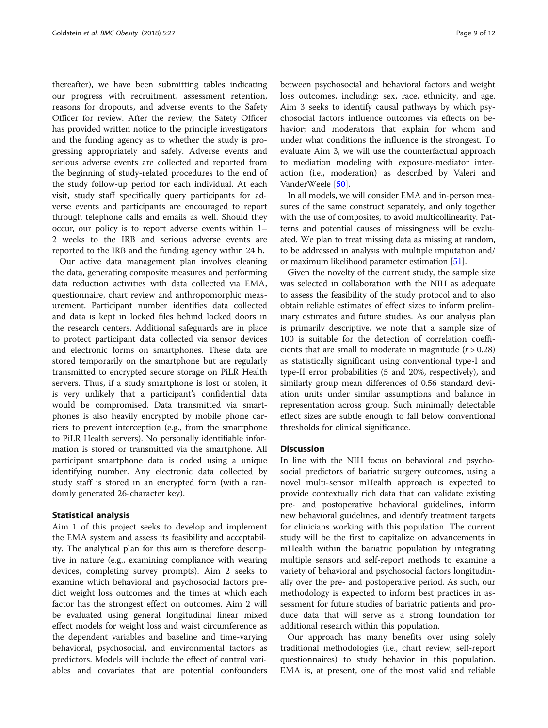thereafter), we have been submitting tables indicating our progress with recruitment, assessment retention, reasons for dropouts, and adverse events to the Safety Officer for review. After the review, the Safety Officer has provided written notice to the principle investigators and the funding agency as to whether the study is progressing appropriately and safely. Adverse events and serious adverse events are collected and reported from the beginning of study-related procedures to the end of the study follow-up period for each individual. At each visit, study staff specifically query participants for adverse events and participants are encouraged to report through telephone calls and emails as well. Should they occur, our policy is to report adverse events within 1– 2 weeks to the IRB and serious adverse events are reported to the IRB and the funding agency within 24 h.

Our active data management plan involves cleaning the data, generating composite measures and performing data reduction activities with data collected via EMA, questionnaire, chart review and anthropomorphic measurement. Participant number identifies data collected and data is kept in locked files behind locked doors in the research centers. Additional safeguards are in place to protect participant data collected via sensor devices and electronic forms on smartphones. These data are stored temporarily on the smartphone but are regularly transmitted to encrypted secure storage on PiLR Health servers. Thus, if a study smartphone is lost or stolen, it is very unlikely that a participant's confidential data would be compromised. Data transmitted via smartphones is also heavily encrypted by mobile phone carriers to prevent interception (e.g., from the smartphone to PiLR Health servers). No personally identifiable information is stored or transmitted via the smartphone. All participant smartphone data is coded using a unique identifying number. Any electronic data collected by study staff is stored in an encrypted form (with a randomly generated 26-character key).

## Statistical analysis

Aim 1 of this project seeks to develop and implement the EMA system and assess its feasibility and acceptability. The analytical plan for this aim is therefore descriptive in nature (e.g., examining compliance with wearing devices, completing survey prompts). Aim 2 seeks to examine which behavioral and psychosocial factors predict weight loss outcomes and the times at which each factor has the strongest effect on outcomes. Aim 2 will be evaluated using general longitudinal linear mixed effect models for weight loss and waist circumference as the dependent variables and baseline and time-varying behavioral, psychosocial, and environmental factors as predictors. Models will include the effect of control variables and covariates that are potential confounders

between psychosocial and behavioral factors and weight loss outcomes, including: sex, race, ethnicity, and age. Aim 3 seeks to identify causal pathways by which psychosocial factors influence outcomes via effects on behavior; and moderators that explain for whom and under what conditions the influence is the strongest. To evaluate Aim 3, we will use the counterfactual approach to mediation modeling with exposure-mediator interaction (i.e., moderation) as described by Valeri and VanderWeele [[50\]](#page-11-0).

In all models, we will consider EMA and in-person measures of the same construct separately, and only together with the use of composites, to avoid multicollinearity. Patterns and potential causes of missingness will be evaluated. We plan to treat missing data as missing at random, to be addressed in analysis with multiple imputation and/ or maximum likelihood parameter estimation [[51](#page-11-0)].

Given the novelty of the current study, the sample size was selected in collaboration with the NIH as adequate to assess the feasibility of the study protocol and to also obtain reliable estimates of effect sizes to inform preliminary estimates and future studies. As our analysis plan is primarily descriptive, we note that a sample size of 100 is suitable for the detection of correlation coefficients that are small to moderate in magnitude  $(r > 0.28)$ as statistically significant using conventional type-I and type-II error probabilities (5 and 20%, respectively), and similarly group mean differences of 0.56 standard deviation units under similar assumptions and balance in representation across group. Such minimally detectable effect sizes are subtle enough to fall below conventional thresholds for clinical significance.

# **Discussion**

In line with the NIH focus on behavioral and psychosocial predictors of bariatric surgery outcomes, using a novel multi-sensor mHealth approach is expected to provide contextually rich data that can validate existing pre- and postoperative behavioral guidelines, inform new behavioral guidelines, and identify treatment targets for clinicians working with this population. The current study will be the first to capitalize on advancements in mHealth within the bariatric population by integrating multiple sensors and self-report methods to examine a variety of behavioral and psychosocial factors longitudinally over the pre- and postoperative period. As such, our methodology is expected to inform best practices in assessment for future studies of bariatric patients and produce data that will serve as a strong foundation for additional research within this population.

Our approach has many benefits over using solely traditional methodologies (i.e., chart review, self-report questionnaires) to study behavior in this population. EMA is, at present, one of the most valid and reliable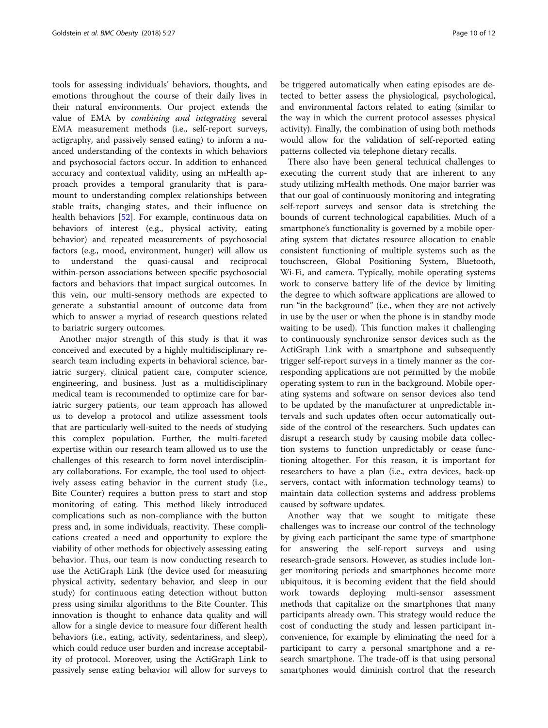tools for assessing individuals' behaviors, thoughts, and emotions throughout the course of their daily lives in their natural environments. Our project extends the value of EMA by combining and integrating several EMA measurement methods (i.e., self-report surveys, actigraphy, and passively sensed eating) to inform a nuanced understanding of the contexts in which behaviors and psychosocial factors occur. In addition to enhanced accuracy and contextual validity, using an mHealth approach provides a temporal granularity that is paramount to understanding complex relationships between stable traits, changing states, and their influence on health behaviors [[52\]](#page-11-0). For example, continuous data on behaviors of interest (e.g., physical activity, eating behavior) and repeated measurements of psychosocial factors (e.g., mood, environment, hunger) will allow us to understand the quasi-causal and reciprocal within-person associations between specific psychosocial factors and behaviors that impact surgical outcomes. In this vein, our multi-sensory methods are expected to generate a substantial amount of outcome data from which to answer a myriad of research questions related to bariatric surgery outcomes.

Another major strength of this study is that it was conceived and executed by a highly multidisciplinary research team including experts in behavioral science, bariatric surgery, clinical patient care, computer science, engineering, and business. Just as a multidisciplinary medical team is recommended to optimize care for bariatric surgery patients, our team approach has allowed us to develop a protocol and utilize assessment tools that are particularly well-suited to the needs of studying this complex population. Further, the multi-faceted expertise within our research team allowed us to use the challenges of this research to form novel interdisciplinary collaborations. For example, the tool used to objectively assess eating behavior in the current study (i.e., Bite Counter) requires a button press to start and stop monitoring of eating. This method likely introduced complications such as non-compliance with the button press and, in some individuals, reactivity. These complications created a need and opportunity to explore the viability of other methods for objectively assessing eating behavior. Thus, our team is now conducting research to use the ActiGraph Link (the device used for measuring physical activity, sedentary behavior, and sleep in our study) for continuous eating detection without button press using similar algorithms to the Bite Counter. This innovation is thought to enhance data quality and will allow for a single device to measure four different health behaviors (i.e., eating, activity, sedentariness, and sleep), which could reduce user burden and increase acceptability of protocol. Moreover, using the ActiGraph Link to passively sense eating behavior will allow for surveys to be triggered automatically when eating episodes are detected to better assess the physiological, psychological, and environmental factors related to eating (similar to the way in which the current protocol assesses physical activity). Finally, the combination of using both methods would allow for the validation of self-reported eating patterns collected via telephone dietary recalls.

There also have been general technical challenges to executing the current study that are inherent to any study utilizing mHealth methods. One major barrier was that our goal of continuously monitoring and integrating self-report surveys and sensor data is stretching the bounds of current technological capabilities. Much of a smartphone's functionality is governed by a mobile operating system that dictates resource allocation to enable consistent functioning of multiple systems such as the touchscreen, Global Positioning System, Bluetooth, Wi-Fi, and camera. Typically, mobile operating systems work to conserve battery life of the device by limiting the degree to which software applications are allowed to run "in the background" (i.e., when they are not actively in use by the user or when the phone is in standby mode waiting to be used). This function makes it challenging to continuously synchronize sensor devices such as the ActiGraph Link with a smartphone and subsequently trigger self-report surveys in a timely manner as the corresponding applications are not permitted by the mobile operating system to run in the background. Mobile operating systems and software on sensor devices also tend to be updated by the manufacturer at unpredictable intervals and such updates often occur automatically outside of the control of the researchers. Such updates can disrupt a research study by causing mobile data collection systems to function unpredictably or cease functioning altogether. For this reason, it is important for researchers to have a plan (i.e., extra devices, back-up servers, contact with information technology teams) to maintain data collection systems and address problems caused by software updates.

Another way that we sought to mitigate these challenges was to increase our control of the technology by giving each participant the same type of smartphone for answering the self-report surveys and using research-grade sensors. However, as studies include longer monitoring periods and smartphones become more ubiquitous, it is becoming evident that the field should work towards deploying multi-sensor assessment methods that capitalize on the smartphones that many participants already own. This strategy would reduce the cost of conducting the study and lessen participant inconvenience, for example by eliminating the need for a participant to carry a personal smartphone and a research smartphone. The trade-off is that using personal smartphones would diminish control that the research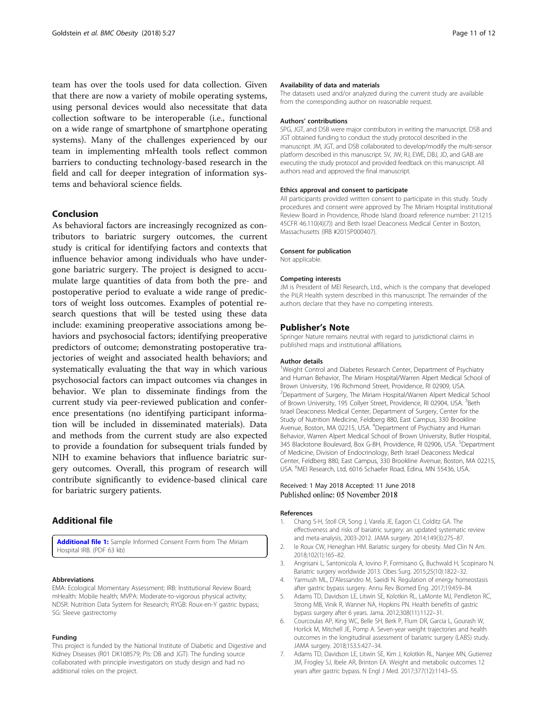<span id="page-10-0"></span>team has over the tools used for data collection. Given that there are now a variety of mobile operating systems, using personal devices would also necessitate that data collection software to be interoperable (i.e., functional on a wide range of smartphone of smartphone operating systems). Many of the challenges experienced by our team in implementing mHealth tools reflect common barriers to conducting technology-based research in the field and call for deeper integration of information systems and behavioral science fields.

## Conclusion

As behavioral factors are increasingly recognized as contributors to bariatric surgery outcomes, the current study is critical for identifying factors and contexts that influence behavior among individuals who have undergone bariatric surgery. The project is designed to accumulate large quantities of data from both the pre- and postoperative period to evaluate a wide range of predictors of weight loss outcomes. Examples of potential research questions that will be tested using these data include: examining preoperative associations among behaviors and psychosocial factors; identifying preoperative predictors of outcome; demonstrating postoperative trajectories of weight and associated health behaviors; and systematically evaluating the that way in which various psychosocial factors can impact outcomes via changes in behavior. We plan to disseminate findings from the current study via peer-reviewed publication and conference presentations (no identifying participant information will be included in disseminated materials). Data and methods from the current study are also expected to provide a foundation for subsequent trials funded by NIH to examine behaviors that influence bariatric surgery outcomes. Overall, this program of research will contribute significantly to evidence-based clinical care for bariatric surgery patients.

# Additional file

[Additional file 1:](https://doi.org/10.1186/s40608-018-0204-6) Sample Informed Consent Form from The Miriam Hospital IRB. (PDF 63 kb)

#### Abbreviations

EMA: Ecological Momentary Assessment; IRB: Institutional Review Board; mHealth: Mobile health; MVPA: Moderate-to-vigorous physical activity; NDSR: Nutrition Data System for Research; RYGB: Roux-en-Y gastric bypass; SG: Sleeve gastrectomy

#### Funding

This project is funded by the National Institute of Diabetic and Digestive and Kidney Diseases (R01 DK108579; PIs: DB and JGT). The funding source collaborated with principle investigators on study design and had no additional roles on the project.

#### Availability of data and materials

The datasets used and/or analyzed during the current study are available from the corresponding author on reasonable request.

#### Authors' contributions

SPG, JGT, and DSB were major contributors in writing the manuscript. DSB and JGT obtained funding to conduct the study protocol described in the manuscript. JM, JGT, and DSB collaborated to develop/modify the multi-sensor platform described in this manuscript. SV, JW, RJ, EWE, DBJ, JD, and GAB are executing the study protocol and provided feedback on this manuscript. All authors read and approved the final manuscript.

#### Ethics approval and consent to participate

All participants provided written consent to participate in this study. Study procedures and consent were approved by The Miriam Hospital Institutional Review Board in Providence, Rhode Island (board reference number: 211215 45CFR 46.110(4)(7)) and Beth Israel Deaconess Medical Center in Boston, Massachusetts (IRB #2015P000407).

#### Consent for publication

Not applicable.

#### Competing interests

JM is President of MEI Research, Ltd., which is the company that developed the PiLR Health system described in this manuscript. The remainder of the authors declare that they have no competing interests.

#### Publisher's Note

Springer Nature remains neutral with regard to jurisdictional claims in published maps and institutional affiliations.

#### Author details

<sup>1</sup>Weight Control and Diabetes Research Center, Department of Psychiatry and Human Behavior, The Miriam Hospital/Warren Alpert Medical School of Brown University, 196 Richmond Street, Providence, RI 02909, USA. <sup>2</sup>Department of Surgery, The Miriam Hospital/Warren Alpert Medical School of Brown University, 195 Collyer Street, Providence, RI 02904, USA. <sup>3</sup>Beth Israel Deaconess Medical Center, Department of Surgery, Center for the Study of Nutrition Medicine, Feldberg 880, East Campus, 330 Brookline Avenue, Boston, MA 02215, USA. <sup>4</sup>Department of Psychiatry and Human Behavior, Warren Alpert Medical School of Brown University, Butler Hospital, 345 Blackstone Boulevard, Box G-BH, Providence, RI 02906, USA. <sup>5</sup>Department of Medicine, Division of Endocrinology, Beth Israel Deaconess Medical Center, Feldberg 880, East Campus, 330 Brookline Avenue, Boston, MA 02215, USA. <sup>6</sup>MEI Research, Ltd, 6016 Schaefer Road, Edina, MN 55436, USA

#### Received: 1 May 2018 Accepted: 11 June 2018 Published online: 05 November 2018

#### References

- 1. Chang S-H, Stoll CR, Song J, Varela JE, Eagon CJ, Colditz GA. The effectiveness and risks of bariatric surgery: an updated systematic review and meta-analysis, 2003-2012. JAMA surgery. 2014;149(3):275–87.
- 2. le Roux CW, Heneghan HM. Bariatric surgery for obesity. Med Clin N Am. 2018;102(1):165–82.
- 3. Angrisani L, Santonicola A, Iovino P, Formisano G, Buchwald H, Scopinaro N. Bariatric surgery worldwide 2013. Obes Surg. 2015;25(10):1822–32.
- 4. Yarmush ML, D'Alessandro M, Saeidi N. Regulation of energy homeostasis after gastric bypass surgery. Annu Rev Biomed Eng. 2017;19:459–84.
- Adams TD, Davidson LE, Litwin SE, Kolotkin RL, LaMonte MJ, Pendleton RC, Strong MB, Vinik R, Wanner NA, Hopkins PN. Health benefits of gastric bypass surgery after 6 years. Jama. 2012;308(11):1122–31.
- 6. Courcoulas AP, King WC, Belle SH, Berk P, Flum DR, Garcia L, Gourash W, Horlick M, Mitchell JE, Pomp A. Seven-year weight trajectories and health outcomes in the longitudinal assessment of bariatric surgery (LABS) study. JAMA surgery. 2018;153.5:427–34.
- 7. Adams TD, Davidson LE, Litwin SE, Kim J, Kolotkin RL, Nanjee MN, Gutierrez JM, Frogley SJ, Ibele AR, Brinton EA. Weight and metabolic outcomes 12 years after gastric bypass. N Engl J Med. 2017;377(12):1143–55.